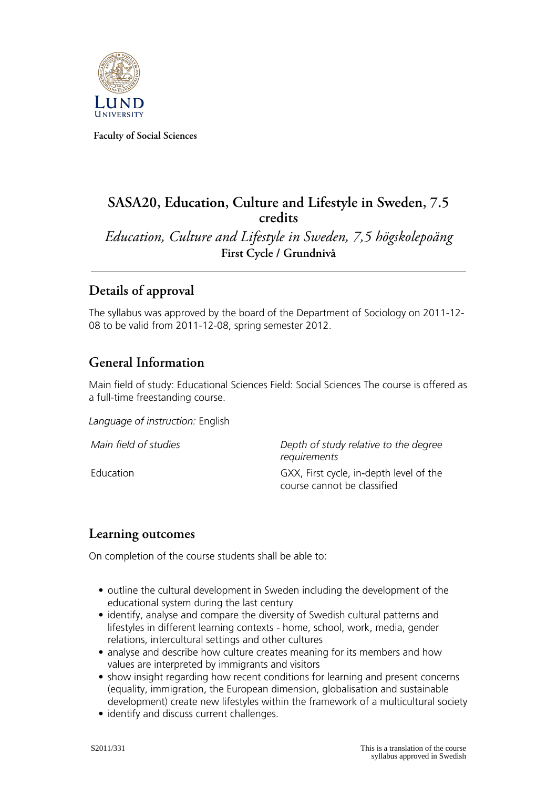

**Faculty of Social Sciences**

## **SASA20, Education, Culture and Lifestyle in Sweden, 7.5 credits**

*Education, Culture and Lifestyle in Sweden, 7,5 högskolepoäng* **First Cycle / Grundnivå**

## **Details of approval**

The syllabus was approved by the board of the Department of Sociology on 2011-12- 08 to be valid from 2011-12-08, spring semester 2012.

## **General Information**

Main field of study: Educational Sciences Field: Social Sciences The course is offered as a full-time freestanding course.

*Language of instruction:* English

*Main field of studies Depth of study relative to the degree requirements* Education GXX, First cycle, in-depth level of the course cannot be classified

#### **Learning outcomes**

On completion of the course students shall be able to:

- outline the cultural development in Sweden including the development of the educational system during the last century
- identify, analyse and compare the diversity of Swedish cultural patterns and lifestyles in different learning contexts - home, school, work, media, gender relations, intercultural settings and other cultures
- analyse and describe how culture creates meaning for its members and how values are interpreted by immigrants and visitors
- show insight regarding how recent conditions for learning and present concerns (equality, immigration, the European dimension, globalisation and sustainable development) create new lifestyles within the framework of a multicultural society
- identify and discuss current challenges.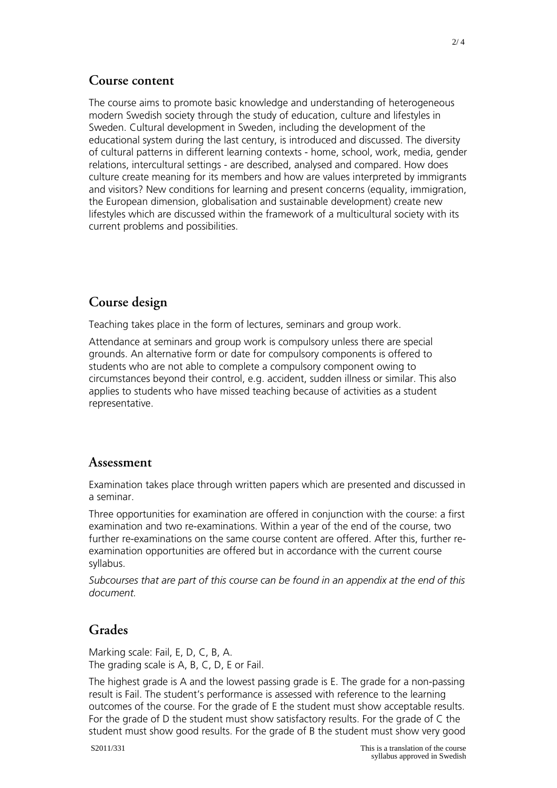#### **Course content**

The course aims to promote basic knowledge and understanding of heterogeneous modern Swedish society through the study of education, culture and lifestyles in Sweden. Cultural development in Sweden, including the development of the educational system during the last century, is introduced and discussed. The diversity of cultural patterns in different learning contexts - home, school, work, media, gender relations, intercultural settings - are described, analysed and compared. How does culture create meaning for its members and how are values interpreted by immigrants and visitors? New conditions for learning and present concerns (equality, immigration, the European dimension, globalisation and sustainable development) create new lifestyles which are discussed within the framework of a multicultural society with its current problems and possibilities.

## **Course design**

Teaching takes place in the form of lectures, seminars and group work.

Attendance at seminars and group work is compulsory unless there are special grounds. An alternative form or date for compulsory components is offered to students who are not able to complete a compulsory component owing to circumstances beyond their control, e.g. accident, sudden illness or similar. This also applies to students who have missed teaching because of activities as a student representative.

#### **Assessment**

Examination takes place through written papers which are presented and discussed in a seminar.

Three opportunities for examination are offered in conjunction with the course: a first examination and two re-examinations. Within a year of the end of the course, two further re-examinations on the same course content are offered. After this, further reexamination opportunities are offered but in accordance with the current course syllabus.

*Subcourses that are part of this course can be found in an appendix at the end of this document.*

#### **Grades**

Marking scale: Fail, E, D, C, B, A. The grading scale is A, B, C, D, E or Fail.

The highest grade is A and the lowest passing grade is E. The grade for a non-passing result is Fail. The student's performance is assessed with reference to the learning outcomes of the course. For the grade of E the student must show acceptable results. For the grade of D the student must show satisfactory results. For the grade of C the student must show good results. For the grade of B the student must show very good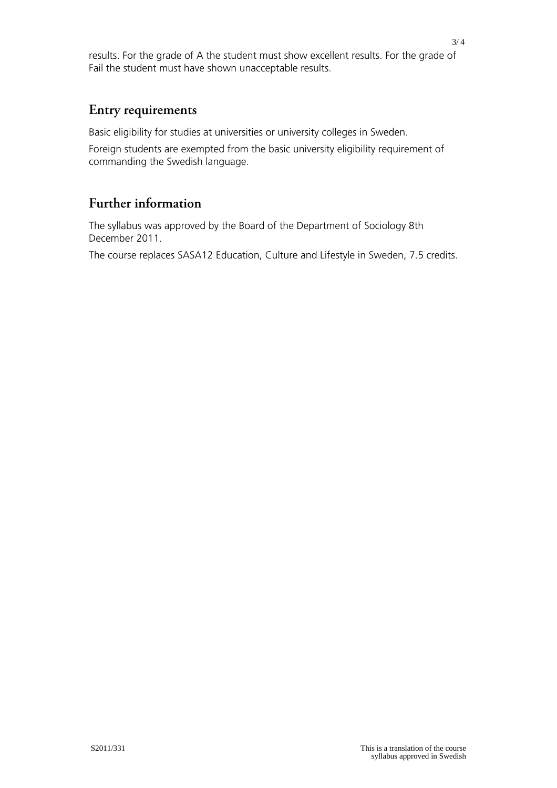results. For the grade of A the student must show excellent results. For the grade of Fail the student must have shown unacceptable results.

#### **Entry requirements**

Basic eligibility for studies at universities or university colleges in Sweden.

Foreign students are exempted from the basic university eligibility requirement of commanding the Swedish language.

# **Further information**

The syllabus was approved by the Board of the Department of Sociology 8th December 2011.

The course replaces SASA12 Education, Culture and Lifestyle in Sweden, 7.5 credits.